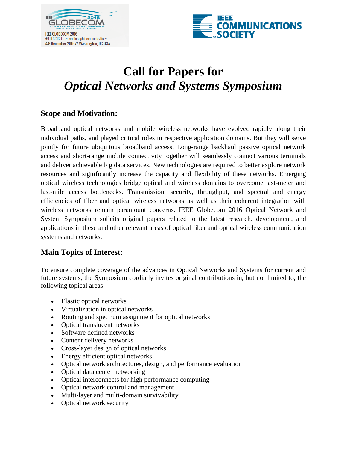



# **Call for Papers for** *Optical Networks and Systems Symposium*

## **Scope and Motivation:**

Broadband optical networks and mobile wireless networks have evolved rapidly along their individual paths, and played critical roles in respective application domains. But they will serve jointly for future ubiquitous broadband access. Long-range backhaul passive optical network access and short-range mobile connectivity together will seamlessly connect various terminals and deliver achievable big data services. New technologies are required to better explore network resources and significantly increase the capacity and flexibility of these networks. Emerging optical wireless technologies bridge optical and wireless domains to overcome last-meter and last-mile access bottlenecks. Transmission, security, throughput, and spectral and energy efficiencies of fiber and optical wireless networks as well as their coherent integration with wireless networks remain paramount concerns. IEEE Globecom 2016 Optical Network and System Symposium solicits original papers related to the latest research, development, and applications in these and other relevant areas of optical fiber and optical wireless communication systems and networks.

## **Main Topics of Interest:**

To ensure complete coverage of the advances in Optical Networks and Systems for current and future systems, the Symposium cordially invites original contributions in, but not limited to, the following topical areas:

- Elastic optical networks
- Virtualization in optical networks
- Routing and spectrum assignment for optical networks
- Optical translucent networks
- Software defined networks
- Content delivery networks
- Cross-layer design of optical networks
- Energy efficient optical networks
- Optical network architectures, design, and performance evaluation
- Optical data center networking
- Optical interconnects for high performance computing
- Optical network control and management
- Multi-layer and multi-domain survivability
- Optical network security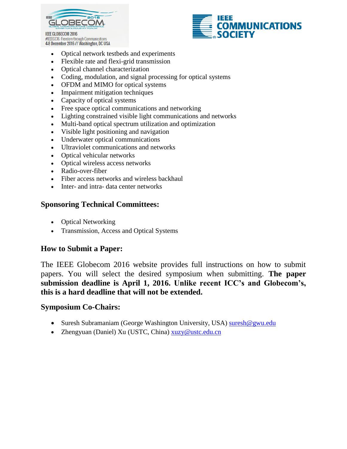



- Optical network testbeds and experiments
- Flexible rate and flexi-grid transmission
- Optical channel characterization
- Coding, modulation, and signal processing for optical systems
- OFDM and MIMO for optical systems
- Impairment mitigation techniques
- Capacity of optical systems
- Free space optical communications and networking
- Lighting constrained visible light communications and networks
- Multi-band optical spectrum utilization and optimization
- Visible light positioning and navigation
- Underwater optical communications
- Ultraviolet communications and networks
- Optical vehicular networks
- Optical wireless access networks
- Radio-over-fiber
- Fiber access networks and wireless backhaul
- Inter- and intra- data center networks

## **Sponsoring Technical Committees:**

- Optical Networking
- Transmission, Access and Optical Systems

## **How to Submit a Paper:**

The IEEE Globecom 2016 website provides full instructions on how to submit papers. You will select the desired symposium when submitting. **The paper submission deadline is April 1, 2016. Unlike recent ICC's and Globecom's, this is a hard deadline that will not be extended.**

## **Symposium Co-Chairs:**

- Suresh Subramaniam (George Washington University, USA) suresh@gwu.edu
- Zhengyuan (Daniel) Xu (USTC, China) [xuzy@ustc.edu.cn](mailto:xuzy@ustc.edu.cn)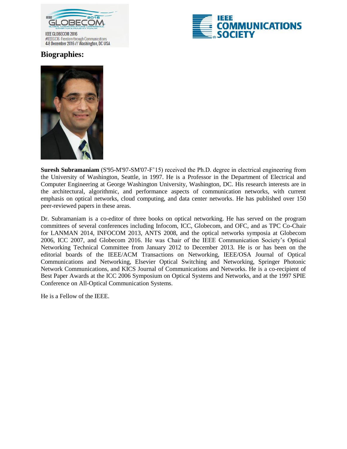



## **Biographies:**



**Suresh Subramaniam** (S'95-M'97-SM'07-F'15) received the Ph.D. degree in electrical engineering from the University of Washington, Seattle, in 1997. He is a Professor in the Department of Electrical and Computer Engineering at George Washington University, Washington, DC. His research interests are in the architectural, algorithmic, and performance aspects of communication networks, with current emphasis on optical networks, cloud computing, and data center networks. He has published over 150 peer-reviewed papers in these areas.

Dr. Subramaniam is a co-editor of three books on optical networking. He has served on the program committees of several conferences including Infocom, ICC, Globecom, and OFC, and as TPC Co-Chair for LANMAN 2014, INFOCOM 2013, ANTS 2008, and the optical networks symposia at Globecom 2006, ICC 2007, and Globecom 2016. He was Chair of the IEEE Communication Society's Optical Networking Technical Committee from January 2012 to December 2013. He is or has been on the editorial boards of the IEEE/ACM Transactions on Networking, IEEE/OSA Journal of Optical Communications and Networking, Elsevier Optical Switching and Networking, Springer Photonic Network Communications, and KICS Journal of Communications and Networks. He is a co-recipient of Best Paper Awards at the ICC 2006 Symposium on Optical Systems and Networks, and at the 1997 SPIE Conference on All-Optical Communication Systems.

He is a Fellow of the IEEE.